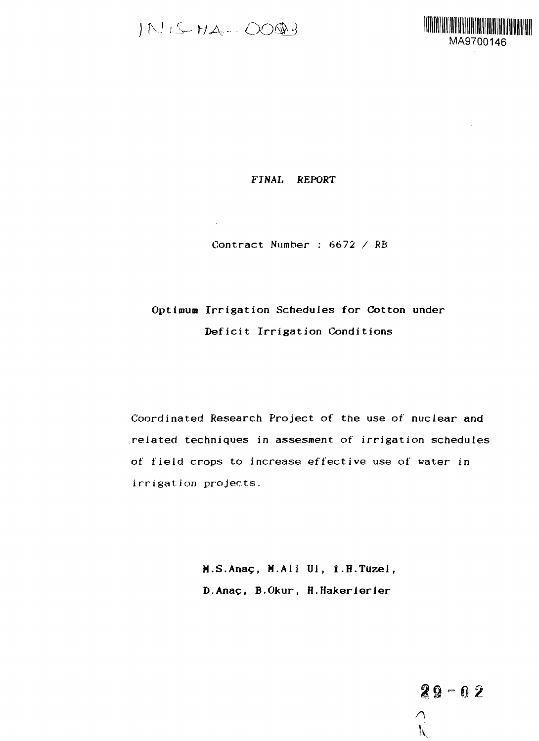IN IS HA-- 0003

 $\mathcal{L}_{\mathrm{eff}}$ 



# **FINAL REPORT**

Contract Number : 6672 / RB

# **Optimum Irrigation Schedules for Cotton under Deficit Irrigation Conditions**

Coordinated Research Project of the use of nuclear and related techniques in assesment of irrigation schedules of field crops to increase effective use of water in irrigation projects.

> **M.S.Anac, M.Ali Ul, i.H.Tuzel, D.Anac, B.Okur, H.Hakerierier**

> > $29 - 02$ **K**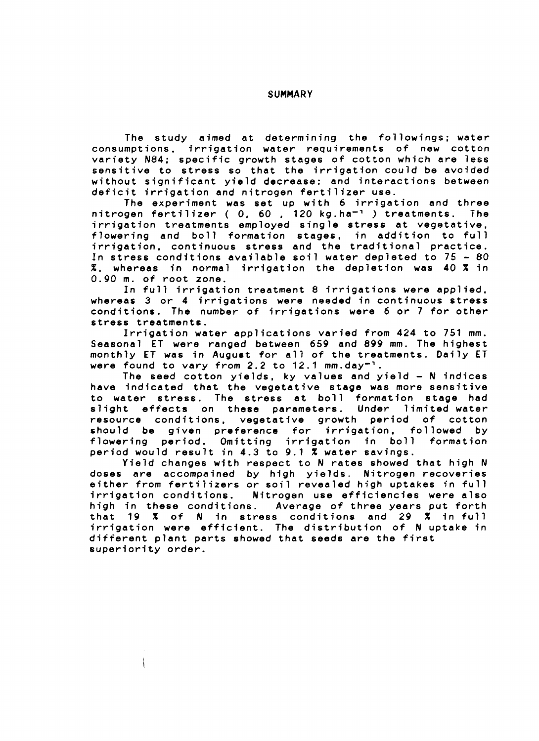#### **SUMMARY**

**The study aimed at determining the followings; water consumptions, irrigation water requirements of new cotton variety N84; specific growth stages of cotton which are less sensitive to stress so that the irrigation could be avoided without significant yield decrease; and interactions between deficit irrigation and nitrogen fertilizer use.**

**The experiment was set up with 6 irrigation and three nitrogen fertilizer ( 0. 60 . 120 kg.ha"<sup>1</sup> ) treatments. The irrigation treatments employed single stress at vegetative, flowering and boll formation stages, in addition to full irrigation, continuous stress and the traditional practice. In stress conditions available soil water depleted to 75 - 80 X, whereas in normal irrigation the depletion was 40 X in 0.90 m. of root zone.**

**In full irrigation treatment 8 irrigations were applied, whereas 3 or 4 irrigations were needed in continuous stress conditions. The number of irrigations were 6 or 7 for other stress treatments.**

**Irrigation water applications varied from 424 to 751 mm. Seasonal ET were ranged between 659 and 899 mm. The highest monthly ET was in August for all of the treatments. Daily ET were found to vary from 2.2 to 12.1 mm.day"<sup>1</sup>.**

**The seed cotton yields, ky values and yield - N indices have indicated that the vegetative stage was more sensitive to water stress. The stress at boll formation stage had slight effects on these parameters. Under limited water resource conditions, vegetative growth period of cotton should be given preference for irrigation. followed by flowering period. Omitting irrigation in boll formation period would result in 4.3 to 9.1 X water savings.**

**Yield changes with respect to N rates showed that high N doses are accompained by high yields. Nitrogen recoveries either from fertilizers or soil revealed high uptakes in full irrigation conditions. Nitrogen use efficiencies were also** Average of three years put forth **that 19 X of N in stress conditions and 29 X in full irrigation were efficient. The distribution of N uptake in different plant parts showed that seeds are the first superiority order.**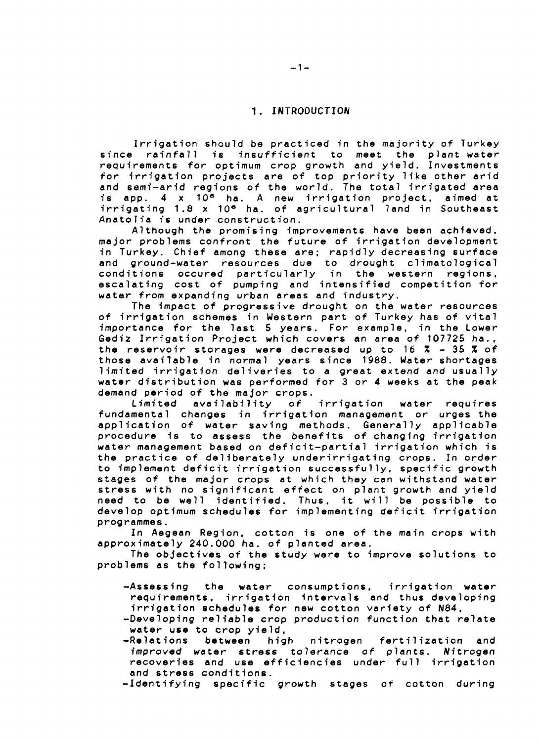## **1. INTRODUCTION**

**Irrigation should be practiced in the majority of Turkey since rainfall is insufficient to meet the plant water requirements for optimum crop growth and yield. Investments for irrigation projects are of top priority like other arid and semi-arid regions of the world. The total irrigated area is app. 4 x 10\* ha. A new irrigation project, aimed at irrigating 1.8 x 10\* ha. of agricultural land in Southeast Anatolia is under construction.**

**Although the promising improvements have been achieved, major problems confront the future of irrigation development in Turkey. Chief among these are; rapidly decreasing surface and ground-water resources due to drought climatological conditions occured particularly in the western regions, escalating cost of pumping and intensified competition for water from expanding urban areas and industry.**

**The impact of progressive drought on the water resources of irrigation schemes in Western part of Turkey has of vital importance for the last 5 years. For example, in the Lower Gediz Irrigation Project which covers an area of 107725 ha., the reservoir storages were decreased up to 16 % - 35 % of those available in normal years since 1988. Water shortages limited irrigation deliveries to a great extend and usually water distribution was performed for 3 or 4 weeks at the peak demand period of the major crops.**

**Limited availability of irrigation water requires fundamental changes in irrigation management or urges the application of water saving methods. Generally applicable procedure is to assess the benefits of changing irrigation water management based on deficit-partial irrigation which is the practice of deliberately underirrigating crops. In order to implement deficit irrigation successfully, specific growth stages of the major crops at which they can withstand water stress with no significant effect on plant growth and yield need to be well identified. Thus, it will be possible to develop optimum schedules for implementing deficit irrigation programmes.**

**In Aegean Region, cotton is one of the main crops with approximately 240.000 ha. of planted area.**

**The objectives of the study were to improve solutions to problems as the following;**

- **-Assessing the water consumptions. irrigation water requirements, irrigation intervals and thus developing irrigation schedules for new cotton variety of N84,**
- **-Developing reliable crop production function that relate water use to crop yield,**
- **-Relations between high nitrogen fertilization and improved water stress tolerance of plants. Nitrogen recoveries and use efficiencies under full irrigation and stress conditions.**

**-Identifying specific growth stages of cotton during**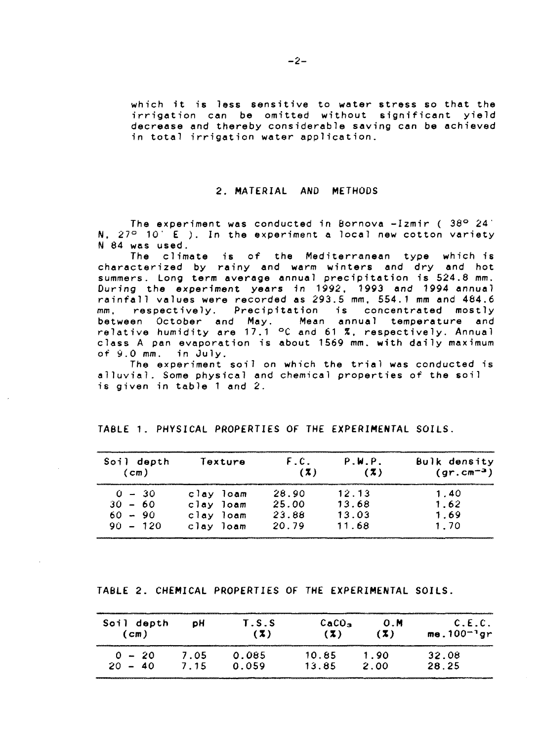**which it is less sensitive to water stress so that the irrigation can be omitted without significant yield decrease and thereby considerable saving can be achieved in total irrigation water application.**

#### **2. MATERIAL AND METHODS**

**The experiment was conducted in Bornova -Izmir ( 38° 24' N. 27° 10' E ). In the experiment a local new cotton variety N 84 was used.**

**The climate is of the Mediterranean type which is characterized by rainy and warm winters and dry and hot summers. Long term average annual precipitation is 524.8 mm. During the experiment years in 1992. 1993 and 1994 annual rainfall values were recorded as 293.5 mm, 554.1 mm and 484.6 mm, respectively. Precipitation is concentrated mostly between October and May. Mean annual temperature and relative humidity are 17.1 °C and 61 %, respectively. Annual class A pan evaporation is about 1569 mm. with daily maximum of 9.0 mm. in July.**

**The experiment soil on which the trial was conducted is alluvial. Some physical and chemical properties of the soil is given in table 1 and 2.**

| Soil depth<br>(cm) | Texture   | F.C.<br>(7) | P.W.P.<br>(7) | Bulk density<br>$(qr.cm^{-3})$ |  |
|--------------------|-----------|-------------|---------------|--------------------------------|--|
| $0 - 30$           | clay loam | 28.90       | 12.13         | 1.40                           |  |
| $30 - 60$          | clay loam | 25.00       | 13.68         | 1.62                           |  |
| $60 - 90$          | clay loam | 23.88       | 13.03         | 1.69                           |  |
| $90 - 120$         | clay loam | 20.79       | 11.68         | 1.70                           |  |

## **TABLE 1. PHYSICAL PROPERTIES OF THE EXPERIMENTAL SOILS.**

**TABLE 2. CHEMICAL PROPERTIES OF THE EXPERIMENTAL SOILS.**

| Soil depth            | юH          | T.S.S          | CaCO <sub>3</sub> | 0.M          | C.E.C.            |
|-----------------------|-------------|----------------|-------------------|--------------|-------------------|
| $\mathsf{(cm)}$       |             | ( Z )          | ( Z )             | (X)          | me.100 $^{-1}$ gr |
| $0 - 20$<br>$20 - 40$ | 7.05<br>715 | 0.085<br>0.059 | 10.85<br>13.85    | 1.90<br>2.00 | 32.08<br>28.25    |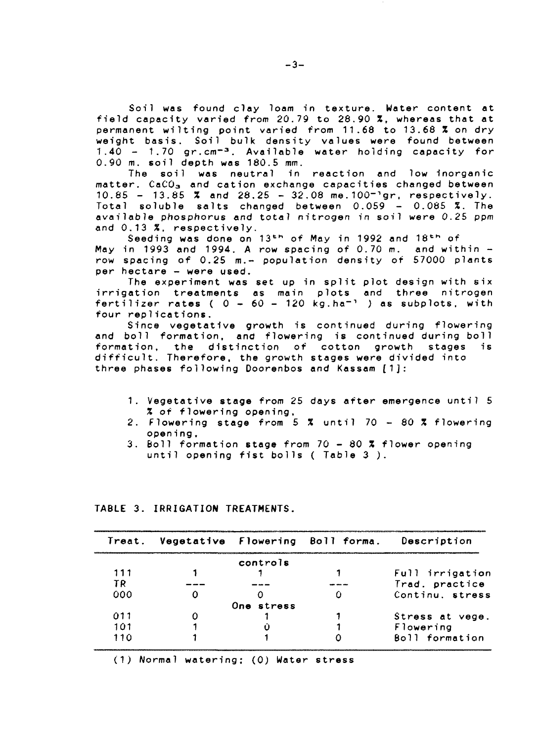Soil was found clay loam in texture. Water content at field capacity varied from 20.79 to 28.90 X, whereas that at permanent wilting point varied from 11.68 to 13.68 % on dry weight basis. Soil bulk density values were found between 1.40 - 1.70 gr.cm<sup>-3</sup>. Available water holding capacity for 0.90 m. soil depth was 180.5 mm.

The soil was neutral in reaction and low inorganic matter. CaCO<sub>3</sub> and cation exchange capacities changed between  $10.85 - 13.85$  % and  $28.25 - 32.08$  me. $100^{-1}$ gr. respectively. Total soluble salts changed between  $0.059 - 0.085$  %. The available phosphorus and total nitrogen in soil were 0.25 ppm and 0.13 %, respectively.

Seeding was done on  $13^{th}$  of May in 1992 and  $18^{th}$  of in 1993 and 1994. A row spacing of 0.70 m. and within  $-$ May in 1993 and 1994. A row spacing of 0.70 m. and within row spacing of 0.25 m.<del>–</del> population density of 57000 plants per hectare - were used.

The experiment was set up in split plot design with six irrigation treatments as main plots and three nitrogen fertilizer rates ( 0 - 60 - 120 kg.ha"<sup>1</sup> ) as subplots, with four replications.

Since vegetative growth is continued during flowering and boll formation, and flowering is continued during boll formation, the distinction of cotton growth stages is difficult. Therefore, the growth stages were divided into three phases following Doorenbos and Kassam [1]:

- 1. Vegetative stage from 25 days after emergence until 5 % of flowering opening,
- 2. Flowering stage from 5 % until 70 80 % flowering opening,
- 3. Boll formation stage from 70 80 X flower opening until opening fist bolls ( Table 3 ).

|     |            | Treat. Vegetative Flowering Boll forma. Description |
|-----|------------|-----------------------------------------------------|
|     | controls   |                                                     |
|     |            | Full irrigation                                     |
| ΤR  |            | Trad. practice                                      |
| 000 |            | Continu. stress                                     |
|     | One stress |                                                     |
| 011 |            | Stress at vege.                                     |
| 101 |            | Flowering                                           |
| 110 |            | Boll formation                                      |

# **TABLE 3. IRRIGATION TREATMENTS.**

(1) Normal watering; (0) Water stress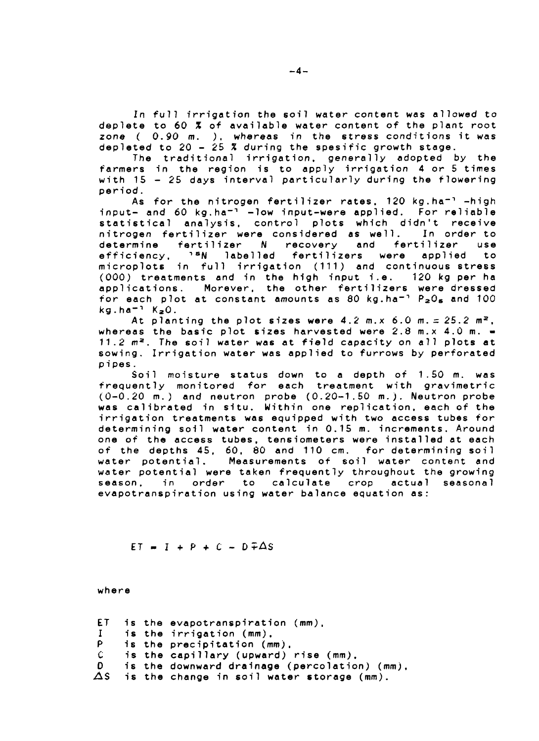**In full irrigation the soil water content was allowed to deplete to 60 % of available water content of the plant root zone ( 0.90 m. ) . whereas in the stress conditions it was depleted to 20 - 25 % during the spesific growth stage.**

**The traditional irrigation, generally adopted by the farmers in the region is to apply irrigation 4 or 5 times with 15 - 25 days interval particularly during the flowering period.**

**As for the nitrogen fertilizer rates. 120 kg.ha""<sup>1</sup> -high input- and 60 kg.ha~<sup>n</sup> -low input-were applied. For reliable statistical analysis, control plots which didn't receive nitrogen fertilizer were considered as well. In order to determine fertilizer N recovery and fertilizer use efficiency, n S N labelled fertilizers were applied to microplot6 in full irrigation (111) and continuous stress (000) treatments and in the high input i.e. 120 kg per ha applications. Morever, the other fertilizers were dressed for each plot at constant amounts as 80 kg.ha""<sup>1</sup> P <sup>2</sup> 0 <sup>s</sup> and 100 kg.ha-<sup>1</sup> KaO.**

At planting the plot sizes were  $4.2$  m.x  $6.0$  m.  $\leq 25.2$  m<sup>2</sup>, **whereas the basic plot sizes harvested were 2.8 m.x 4.0 m. - 11.2 m <sup>a</sup> . The soil water was at field capacity on all plots at sowing. Irrigation water was applied to furrows by perforated pipes.**

**Soil moisture status down to a depth of 1.50 m. was frequently monitored for each treatment with gravimetric (0-0.20 m. ) and neutron probe (0.20-1.50 m.) . Neutron probe w as calibrated in situ. Within one replication, each of the irrigation treatments was equipped with two access tubes for determining soil water content in 0.15 m. increments. Around one of the access tubes, tensiometers were installed at each of the depths 45, 60, 80 and 110 cm. for determining soil water potential. Measurements of soil water content and water potential were taken frequently throughout the growing season, in order to calculate crop actual seasonal evapotranspirat ion using water balance equation as:**

$$
ET = I + P + C - D \pm \Delta S
$$

**where**

**ET I P C D AS i s the evapotranspiration (mm), i s the i rrigation (mm). i s the precipitation (mm), i s the capillary (upward) rise (mm), i s the downward drainage (percolation) (mm), i s the change in soil water storage (mm).**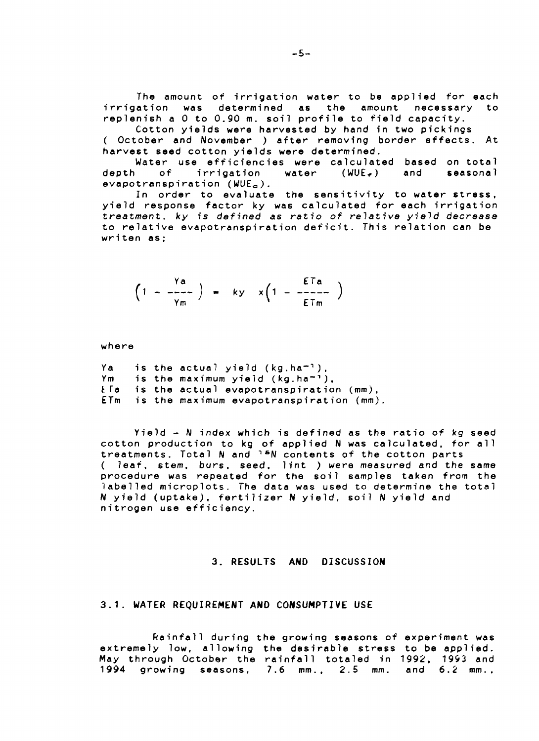**The amount of irrigation water to be applied for each irrigation was determined as the amount necessary to replenish a 0 to 0.90 m. soil profile to field capacity.**

**Cotton yields were harvested by hand in two pickings ( October and November ) after removing border effects. At harvest seed cotton yields were determined.**

**Water use efficiencies were calculated based on total depth of irrigation water (WUE^) and seasonal evapotranspirat ion (WUE<sup>O</sup> ).**

**In order to evaluate the sensitivity to water stress, yield response factor ky was calculated for each irrigation treatment, ky is defined as ratio of relative yield decrease to relative evapotranspirat ion deficit. This relation can be writen as;**

$$
\left(1 - \frac{\gamma a}{\gamma m}\right) = ky \times \left(1 - \frac{ETa}{ETm}\right)
$$

**where**

| Ya |  | is the actual yield $(kg.ha^{-1})$ .            |
|----|--|-------------------------------------------------|
| Ym |  | is the maximum yield $(kg.ha^{-1})$ .           |
|    |  | $E$ a is the actual evapotranspiration $(mm)$ , |
|    |  | ETm is the maximum evapotranspiration (mm).     |

**Yield - hi index which is defined as the ratio of kg seed cotton production to kg of applied N was calculated, for all treatments. Total N and "• <sup>S</sup>N contents of the cotton parts ( leaf, stem, burs, seed, lint ) were measured and the same procedure was repeated for the soil samples taken from the labelled microplots. The data was used to determine the total N yield (uptake), fertilizer N yield, soil N yield and nitrogen use efficiency.**

# **3. RESULTS AND DISCUSSION**

#### **3.1. WATER REQUIREMENT AND CONSUMPTIVE USE**

**Rainfall during the growing seasons of experiment was extremely low, allowing the desirable stress to be applied. May through October the rainfall totaled in 1992. 1993 and 1994 growing seasons, 7.6 mm.. 2.5 mm. and 6.2 mm..**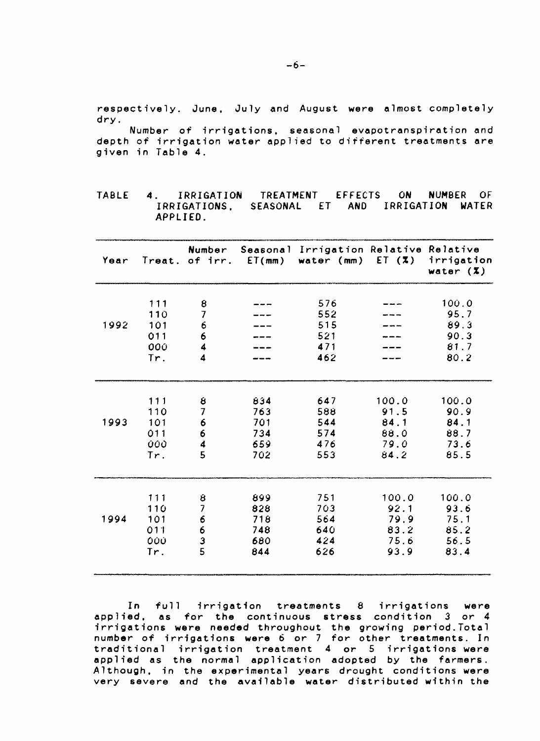**respectively. June, July and August were almost completely dry.**

**Number of irrigations, seasonal evapotranspiration and depth of irrigation water applied to different treatments are** given in Table 4.

**TABLE 4. IRRIGATION IRRIGATIONS. SEASONAL ET AND IRRIGATION WATER APPLIED. TREATMENT EFFECTS ON NUMBER OF**

| Year |     | Number                        | Treat. of $irr.$ $ET(mm)$ | Seasonal Irrigation Relative Relative<br>water (mm) | ET $(7)$ | irrigation<br>water $(X)$ |
|------|-----|-------------------------------|---------------------------|-----------------------------------------------------|----------|---------------------------|
|      |     |                               |                           |                                                     |          |                           |
|      | 111 | 8                             |                           | 576                                                 |          | 100.0                     |
|      | 110 | 7                             |                           | 552                                                 |          | 95.7                      |
| 1992 | 101 | 6                             |                           | 515                                                 |          | 89.3                      |
|      | 011 | 6                             |                           | 521                                                 |          | 90.3                      |
|      | 000 | 4                             |                           | 471                                                 |          | 81.7                      |
|      | Tr. | 4                             |                           | 462                                                 |          | 80.2                      |
|      |     |                               |                           |                                                     |          |                           |
|      | 111 | 8                             | 834                       | 647                                                 | 100.0    | 100.0                     |
|      | 110 | 7                             | 763                       | 588                                                 | 91.5     | 90.9                      |
| 1993 | 101 | 6                             | 701                       | 544                                                 | 84.1     | 84.1                      |
|      | 011 | 6                             | 734                       | 574                                                 | 88.0     | 88.7                      |
|      | 000 | 4                             | 659                       | 476                                                 | 79.0     | 73.6                      |
|      | Tr. | 5                             | 702                       | 553                                                 | 84.2     | 85.5                      |
|      |     |                               |                           |                                                     |          |                           |
|      | 111 | 8<br>$\overline{\mathcal{L}}$ | 899                       | 751                                                 | 100.0    | 100.0                     |
| 1994 | 110 |                               | 828                       | 703                                                 | 92.1     | 93.6                      |
|      | 101 | 6                             | 718                       | 564                                                 | 79.9     | 75.1                      |
|      | 011 | 6                             | 748                       | 640                                                 | 83.2     | 85.2                      |
|      | 000 | $\frac{3}{5}$                 | 680                       | 424                                                 | 75.6     | 56.5                      |
|      | Tr. |                               | 844                       | 626                                                 | 93.9     | 83.4                      |

**In full irrigation treatments 8 irrigations were applied, as for the continuous stress condition 3 or 4 irrigations were needed throughout the growing period.Total number of irrigations were 6 or 7 for other treatments. In traditional irrigation treatment 4 or 5 irrigations were applied as the normal application adopted by the farmers. Although, in the experimental years drought conditions were very severe and the available water distributed within the**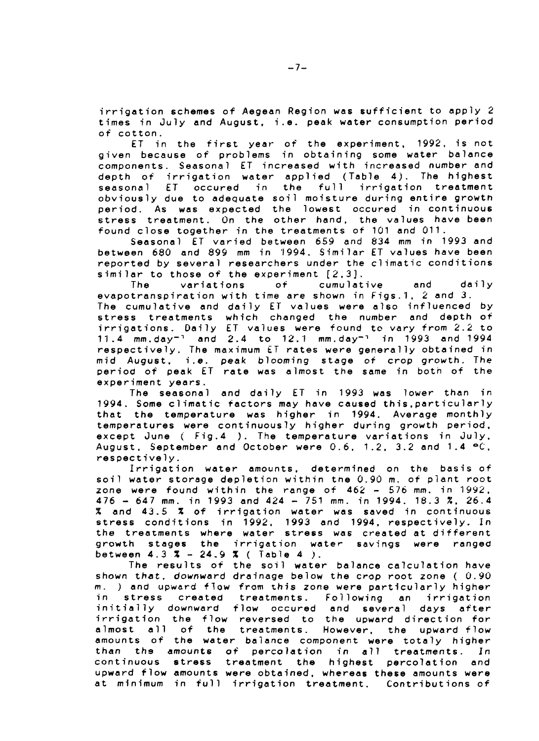**irrigation schemes of Aegean Region was sufficient to apply 2 times in July and August, i.e. peak water consumption period of cotton.**

**ET in the first year of the experiment, 1992, is not given because of problems in obtaining some water balance components. Seasonal ET increased with increased number and depth of irrigation water applied (Table 4) . The highest seasonal ET occured in the full irrigation treatment obviously due to adequate soil moisture during entire growth period. As was expected the lowest occured in continuous stress treatment. On the other hand, the values have been found close together in the treatments of 101 and 011.**

**Seasonal ET varied between 659 and 834 mm in 1993 and between 680 and 899 mm in '1994. Similar ET values have been reported by several researchers under the climatic conditions similar to those of the experiment [2,3].**

**The variations of cumulative and daily evapotranspirat ion with time are shown in Figs.1, 2 and 3. The cumulative and daily ET values were also influenced by stress treatments which changed the number and depth of irrigations. Daily ET values were found to vary from 2.2 to 11.4 mm.day""<sup>1</sup> and 2.4 to 12.1 mm.day-<sup>1</sup> in 1993 and 1994 respectively. The maximum ET rates were generally obtained in mid August, i.e. peak blooming stage of crop growth. The period of peak ET rate was almost the same in both of the experiment years.**

**The seasonal and daily ET in 1993 was lower than in 1994. Some climatic factors may have caused this,particularly that the temperature was higher in 1994. Average monthly temperatures were continuously higher during growth period, except June ( Fig.4 ). The temperature variations in July, August, September and October were 0.6. 1.2. 3.2 and 1.4 °C, respectively.**

**Irrigation water amounts, determined on the basis of soil water storage depletion within the 0.90 m. of plant root zone were found within the range of 462 - 576 mm. in 1992, 476 - 647 mm. in 1993 and 424 - 751 mm. in 1994. 18.3 %. 26.4 % and 43.5 % of irrigation water was saved in continuous stress conditions in 1992. 1993 and 1994, respectively. In the treatments where water stress was created at different growth stages the irrigation water savings were ranged between 4.3 % - 24.9 % ( Table 4 ).**

**The results of the soil water balance calculation have shown that, downward drainage below the crop root zone ( 0.90 m. ) and upward flow from this zone were particularly higher in stress created treatments. Following an irrigation initially downward flow occured and several days after irrigation the flow reversed to the upward direction for almost all of the treatments. However, the upward flow amounts of the water balance component were totaly higher than the amounts of percolation in all treatments. In continuous stress treatment the highest percolation and upward flow amounts were obtained, whereas these amounts were at minimum in full irrigation treatment. Contributions of**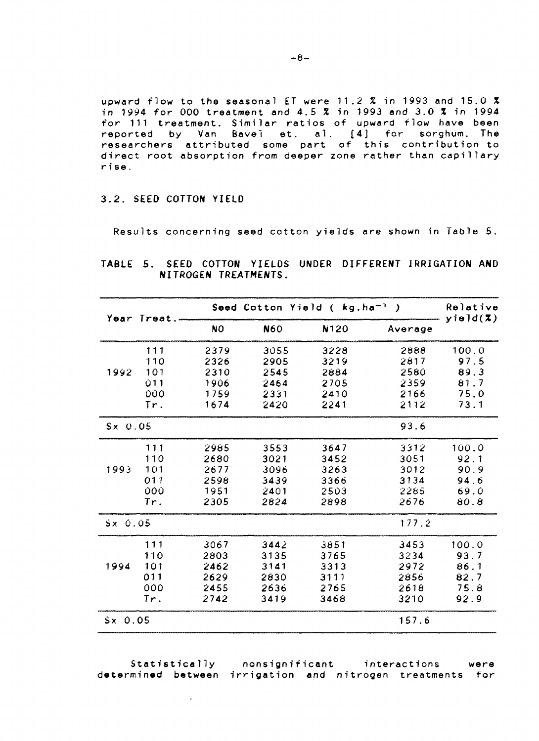upward flow to the seasonal ET were 11.2 % in 1993 and 15.0 X in 1994 for 000 treatment and 4.5 % in 1993 and 3.0 % in 1994 for 111 treatment. Similar ratios reported by Van Bavel et. al researchers attributed some part of this contribution to direct root absorption from deeper zone rather than capillary rise. of upward flow have been [4J for sorghum. The

# **3.2. SEED COTTON YIELD**

Results concerning seed cotton yields are shown in Table 5.

|  |                      |  | TABLE 5. SEED COTTON YIELDS UNDER DIFFERENT IRRIGATION AND |  |
|--|----------------------|--|------------------------------------------------------------|--|
|  | NITROGEN TREATMENTS. |  |                                                            |  |

| Year Treat.     |     |           |            | Seed Cotton Yield ( kg.ha <sup>-1</sup> ) |         | Relative<br>$y$ ield $(\bar{x})$ |  |
|-----------------|-----|-----------|------------|-------------------------------------------|---------|----------------------------------|--|
|                 |     | <b>NO</b> | <b>N60</b> | N120                                      | Average |                                  |  |
|                 | 111 | 2379      | 3055       | 3228                                      | 2888    | 100.0                            |  |
|                 | 110 | 2326      | 2905       | 3219                                      | 2817    | 97.5                             |  |
| 1992            | 101 | 2310      | 2545       | 2884                                      | 2580    | 89.3                             |  |
|                 | 011 | 1906      | 2464       | 2705                                      | 2359    | 81.7                             |  |
|                 | 000 | 1759      | 2331       | 2410                                      | 2166    | 75.0                             |  |
|                 | Tr. | 1674      | 2420       | 2241                                      | 2112    | 73.1                             |  |
| $S \times 0.05$ |     |           |            |                                           | 93.6    |                                  |  |
|                 | 111 | 2985      | 3553       | 3647                                      | 3312    | 100.0                            |  |
|                 | 110 | 2680      | 3021       | 3452                                      | 3051    | 92.1                             |  |
| 1993            | 101 | 2677      | 3096       | 3263                                      | 3012    | 90.9                             |  |
|                 | 011 | 2598      | 3439       | 3366                                      | 3134    | 94.6                             |  |
|                 | 000 | 1951      | 2401       | 2503                                      | 2285    | 69.0                             |  |
|                 | Tr. | 2305      | 2824       | 2898                                      | 2676    | 80.8                             |  |
| $S \times 0.05$ |     |           |            |                                           | 177.2   |                                  |  |
|                 | 111 | 3067      | 3442       | 3851                                      | 3453    | 100.0                            |  |
|                 | 110 | 2803      | 3135       | 3765                                      | 3234    | 93.7                             |  |
| 1994            | 101 | 2462      | 3141       | 3313                                      | 2972    | 86.1                             |  |
|                 | 011 | 2629      | 2830       | 3111                                      | 2856    | 82.7                             |  |
|                 | 000 | 2455      | 2636       | 2765                                      | 2618    | 75.8                             |  |
|                 | Tr. | 2742      | 3419       | 3468                                      | 3210    | 92.9                             |  |
| $S \times 0.05$ |     |           |            |                                           | 157.6   |                                  |  |

Statistically nonsignificant interactions were determined between irrigation and nitrogen treatments for

 $\mathcal{L}$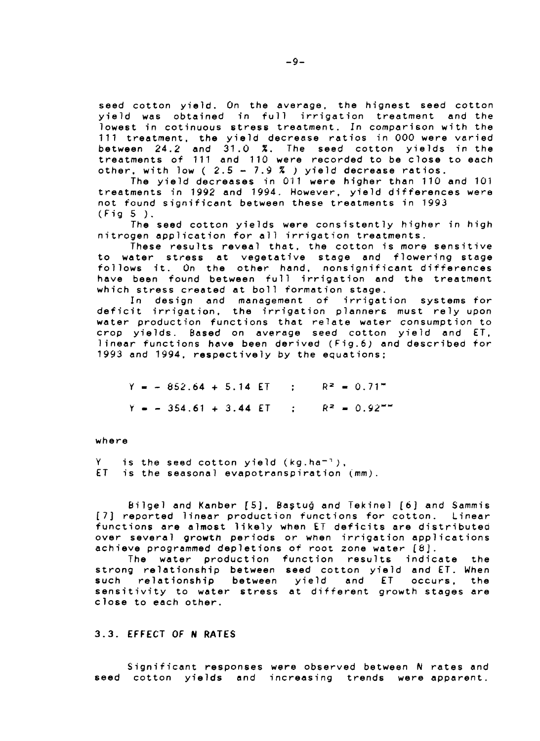**seed cotton yield. On the average, the hignest seed cotton yield was obtained in full irrigation treatment and the lowest in cotinuous stress treatment. In comparison with the 111 treatment, the yield decrease ratios in 000 were varied between 24.2 and 31.0 %. The seed cotton yields in the treatments of 111 and 110 were recorded to be close to each other, with low ( 2.5 - 7.9 % ) yield decrease ratios.**

**The yield decreases in 011 were higher than 110 and 101 treatments in 1992 and 1994. However, yield differences were not found significant between these treatments in 1993 (Fig 5 ) .**

**The seed cotton yields were consistently higher in high nitrogen application for all irrigation treatments.**

**These results reveal that, the cotton is more sensitive to water stress at vegetative stage and flowering stage follows it. On the other hand, nonsignificant differences have been found between full irrigation and the treatment which stress created at boll formation stage.**

**In design and management of irrigation systems for deficit irrigation, the irrigation planners must rely upon water production functions that relate water consumption to crop yields. Based on average seed cotton yield and ET, linear functions have been derived (Fig.6) and described for 1993 and 1994. respectively by the equations;**

 $Y = -852.64 + 5.14$  **ET** :  $R^2 = 0.71$ <sup>\*</sup>  $Y = -354.61 + 3.44$  **ET** :  $R^2 = 0.92$ <sup>\*\*</sup>

**where**

**Y is the seed cotton yield (kg.ha""<sup>1</sup>;, ET is the seasonal evapotranspirat ion (mm).**

**Bilgel and Kanber [5] , Bastug and Tekinel [6] and Sammis [7] reported linear production functions for cotton. Linear functions are almost likely when ET deficits are distributed over several growth periods or when irrigation applications achieve programmed depletions of root zone water [8J.**

**The water production function results indicate the strong relationship between seed cotton yield and ET. When such relationship between yield and ET occurs. the sensitivity to water stress at different growth stages are close to each other.**

# **3.3. EFFECT OF N RATES**

**Significant responses were observed between N rates and seed cotton yields and increasing trends were apparent.**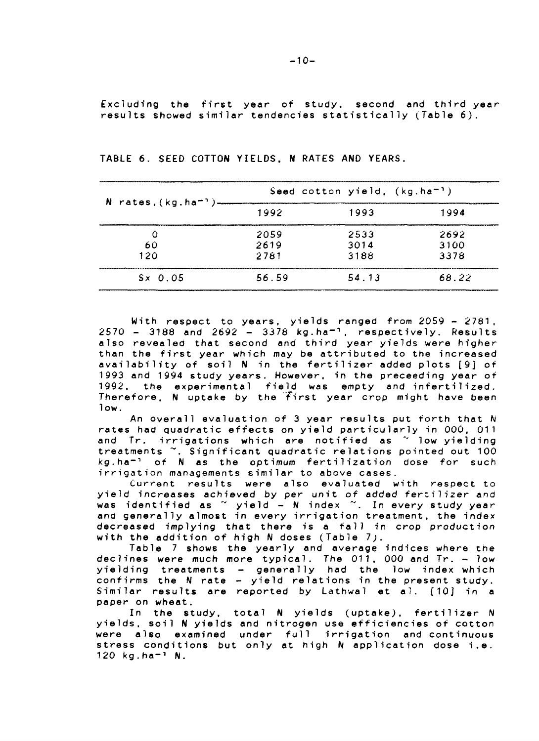Exciuding the first year of study, second and third year results showed similar tendencies statistically (Table 6) .

| N rates, $(kg.ha^{-1})$ -                                                                              |       | Seed cotton yield, $(kg.ha^{-1})$                                      |                                                                             |
|--------------------------------------------------------------------------------------------------------|-------|------------------------------------------------------------------------|-----------------------------------------------------------------------------|
|                                                                                                        | 1992  | 1993                                                                   | 1994                                                                        |
| interesting a control of the company company and control in the property of the control of the control | 2059  | <b><i><u>Programmation Controls Committee Internet</u></i></b><br>2533 | 2692                                                                        |
| 60                                                                                                     | 2619  | 3014                                                                   | 3100                                                                        |
| 120                                                                                                    | 2781  | 3188                                                                   | 3378                                                                        |
| $S \times 0.05$                                                                                        | 56.59 | 54.13                                                                  | <b>The comment of the Control of the commentary of the control</b><br>68.22 |

**TABLE 6. SEED COTTON YIELDS, N RATES AND YEARS.**

With respect to years, yields ranged from 2059 - 2781,  $2570 - 3188$  and  $2692 - 3378$  kg.ha<sup>-1</sup>, respectively. Results also revealed that second and third year yields were higher than the first year which may be attributed to the increased availability of soil N in the fertilizer added plots [9] of 1993 and 1994 study years. However, in the preceeding year of 1992, the experimental field was empty and inferti1ized. Therefore, N uptake by the first year crop might have been low.

An overall evaluation of 3 year results put forth that N rates had quadratic effects on yield particularly in 000, 011 and Tr. irrigations which are notified as "' low yielding treatments ~. Significant quadratic relations pointed out 100  $kg.ha^{-1}$  of N as the optimum fertilization dose for such irrigation managements similar to above cases.

Current results were also evaluated with respect to yield increases achieved by per unit of added fertilizer and was identified as " yield - N index ". In every study year and generally almost in every irrigation treatment, the index decreased implying that there is a fall in crop production with the addition of high N doses (Table 7).

Table 7 shows the yearly and average indices where the declines were much more typical. The 011, 000 and Tr. - low yielding treatments - generally had the low index which confirms the N rate - yield relations in the present study. Similar results are reported by Lathwal et al. [10] in a paper on wheat.

In the study, total N yields (uptake), fertilizer N yields, soil H yields and nitrogen use efficiencies of cotton were also examined under full irrigation and continuous stress conditions but only at high N application dose i.e.  $120$  kg.ha<sup>-1</sup> N.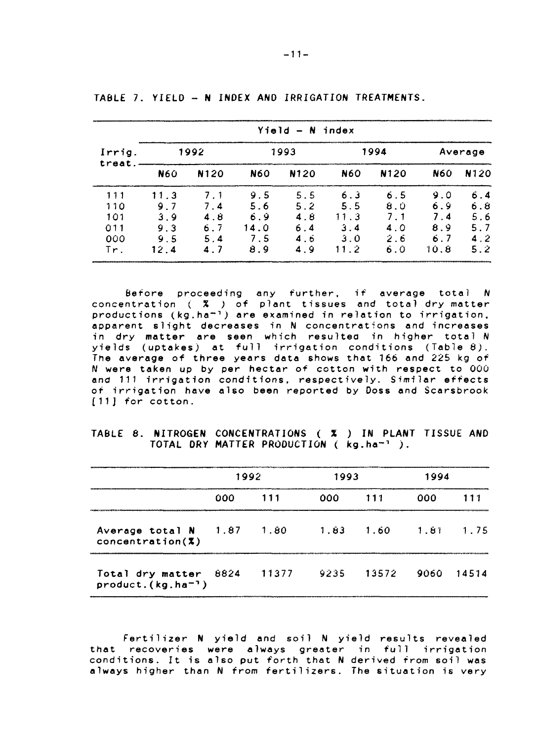|                  | $Y$ ield - N index |      |            |      |            |                |         |      |  |  |  |  |
|------------------|--------------------|------|------------|------|------------|----------------|---------|------|--|--|--|--|
| Irrig.<br>treat. |                    | 1992 |            | 1993 |            | 1994           | Average |      |  |  |  |  |
|                  | N60                | N120 | <b>N60</b> | N120 | <b>N60</b> | N120           | N60     | N120 |  |  |  |  |
| 111              | 11.3               | 7.1  | 9.5        | 5.5  | 6.3        | 6.5            | 9.0     | 6.4  |  |  |  |  |
| 110              | 9.7                | 7.4  | 5.6        | 5.2  | 5.5        | 8.0            | 6.9     | 6.8  |  |  |  |  |
| 101              | 3.9                | 4.8  | 69         | 4.8  | 11.3       | 7 <sub>1</sub> | 7.4     | 5.6  |  |  |  |  |
| $\bigcap$ 1      | 9.3                | 6.7  | 14.0       | 6.4  | 3.4        | 4.0            | 8.9     | 57   |  |  |  |  |
| 000              | 9.5                | 5.4  | 7.5        | 4.6  | 3.0        | 2.6            | 6.7     | 4.2  |  |  |  |  |
| Tr.              | 12.4               | 47   | 8.9        | 4.9  | 11.2       | 6.0            | 10.8    | 5.2  |  |  |  |  |

**TA6LE 7. YIELD - N INDEX AND IRRIGATION TREATMENTS.**

**Before proceeding any further, if average total N concentration ( % ) of plant tissues and total dry matter productions (kg.ha"<sup>1</sup> ) are examined in relation to irrigation, apparent slight decreases in N concentrations and increases in dry matter are seen which resulted in higher total N yields (uptakes) at full irrigation conditions (Table 8) . The average of three years data shows that 166 and 225 kg of N were taken up by per hectar of cotton with respect to 000 and 111 irrigation conditions, respectively. Similar effects of irrigation have also been reported by Doss and Scarsbrook [11] for cotton.**

## **TABLE 8. NITROGEN CONCENTRATIONS ( % ) IN PLANT TISSUE AND TOTAL DRY MATTER PRODUCTION ( kg.ha-<sup>1</sup> ).**

|                                                 | 1992 |                             | 1993 |                             | 1994 |  |
|-------------------------------------------------|------|-----------------------------|------|-----------------------------|------|--|
|                                                 | 000  | 111                         | 000. | 111                         | 000  |  |
| Average total $N = 1.87$<br>concentration(%)    |      | 1.80                        |      | $1.83$ $1.60$ $1.81$ $1.75$ |      |  |
| Total dry matter 8824<br>$product.(kg.ha^{-1})$ |      | 11377 9235 13572 9060 14514 |      |                             |      |  |

Fertilizer N yield and soil N yield results revealed **that recoveries were always greater in full irrigation** conditions. It is also put forth that N derived from soil was **alway s highe r than N from fertilizers . The situatio n is very**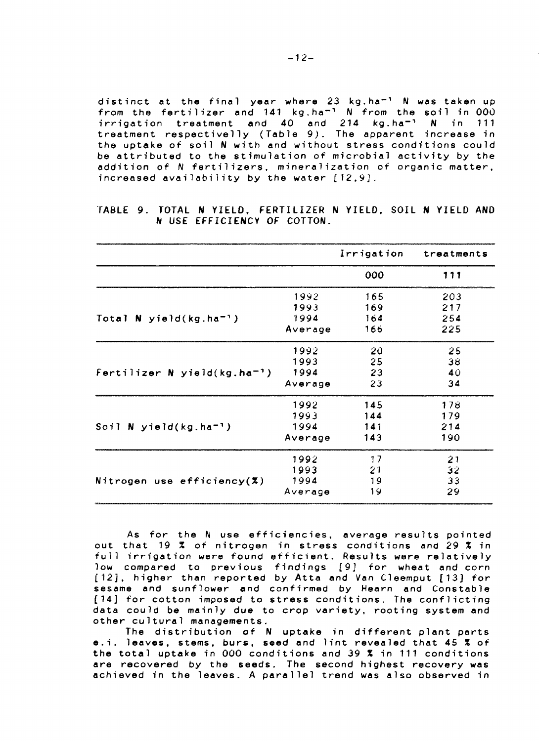**distinc t at the final yea r wher e 23 kg.ha" <sup>1</sup> N was taken up from the fertilizer and 141 kg.ha""<sup>1</sup> N from the soil in 00 0 irrigation treatment and 4 0 and 214 kg.ha" <sup>1</sup> N in 111 treatment respectivell y (Table 9) . The apparent increase in the uptak e of soil N wit h and without stress condition s could** be attributed to the stimulation of microbial activity by the **addition of N fertilizers , mineralizatio n of organic matter ,**  $i$ ncreased availability by the water  $[12, 9]$ .

|  |  | TABLE 9. TOTAL N YIELD, FERTILIZER N YIELD, SOIL N YIELD AND |  |  |  |  |
|--|--|--------------------------------------------------------------|--|--|--|--|
|  |  | N USE EFFICIENCY OF COTTON.                                  |  |  |  |  |

|                                            |         | Irrigation | treatments |
|--------------------------------------------|---------|------------|------------|
|                                            |         | 000        | 111        |
|                                            | 1992    | 165        | 203        |
|                                            | 1993    | 169        | 217        |
| Total N yield( $kg.ha^{-1}$ )              | 1994    | 164        | 254        |
|                                            | Average | 166        | 225        |
|                                            | 1992    | -20        | 25         |
|                                            | 1993    | 25         | 38         |
| Fertilizer $N$ yield(kg.ha <sup>-1</sup> ) | 1994    | 23         | 40         |
|                                            | Average | 23         | 34         |
|                                            | 1992    | 145        | 178        |
|                                            | 1993    | 144        | 179        |
| Soil N yield(kg.ha <sup>-1</sup> )         | 1994    | 141        | 214        |
|                                            | Average | 143        | 190        |
|                                            | 1992    | 17         | 21         |
|                                            | 1993    | 21         | 32         |
| Nitrogen use efficiency $(X)$              | 1994    | 19         | 33         |
|                                            | Average | 19         | 29         |

**As for the N use efficiencies, average results pointed out that 19 % of nitrogen in stress conditions and 29 % in full irrigation were found efficient. Results were relatively low compared to previous findings [9J for wheat and corn [12], higher than reported by Atta and Van Cleemput [13] for sesame and sunflower and confirmed by Hearn and Constable [14] for cotton imposed to stress conditions. The conflicting data could be mainly due to crop variety, rooting system and other cultural managements.**

**The distribution of N uptake in different plant parts e.i. leaves, stems, burs, seed and lint revealed that 45 % of the total uptake in 000 conditions and 39 % in 111 conditions are recovered by the seeds. The second highest recovery was achieved in the leaves. A parallel trend was also observed in**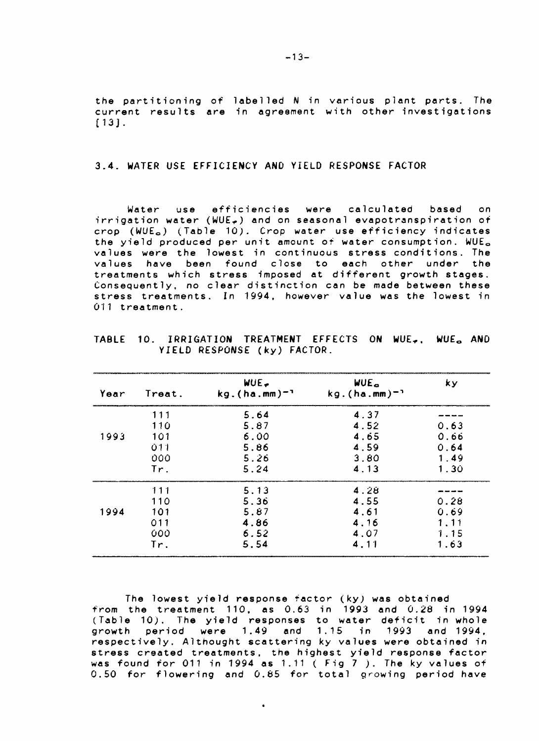**the partitioning of labelled N in various plant parts. The current results are in agreement with other investigations [13J.**

# **3.4. WATER USE EFFICIENCY AND YIELD RESPONSE FACTOR**

**Water use efficiencies were calculated based on irrigation water (WUE.) and on seasonal evapotranspiration of crop (WUEo) (Table 10). Crop water use efficiency indicates** the yield produced per unit amount of water consumption. WUE<sub>a</sub> **values were the lowest in continuous stress conditions. The values have been found close to each other under the treatments which stress imposed at different growth stages. Consequently, no clear distinction can be made between these stress treatments. In 1994, however value was the lowest in 011 treatment.**

| Year | Treat. | WUE.<br>$kg.(ha.mm)^{-1}$ | WUE <sub>n</sub><br>$kg.(ha.mm)^{-1}$ | k v  |
|------|--------|---------------------------|---------------------------------------|------|
|      | 111    | 5.64                      | 4.37                                  |      |
|      | 110    | 5.87                      | 4.52                                  | 0.63 |
| 1993 | 101    | 6.00                      | 4.65                                  | 0.66 |
|      | 011    | 5.86                      | 4.59                                  | 0.64 |
|      | 000    | 5.26                      | 3.80                                  | 1.49 |
|      | Tr.    | 5.24                      | 4.13                                  | 1.30 |
|      | 111    | 5.13                      | 4.28                                  |      |
|      | 110    | 5.36                      | 4.55                                  | 0.28 |
| 1994 | 101    | 5.87                      | 4.61                                  | 0.69 |
|      | 011    | 4.86                      | 4.16                                  | 1.11 |
|      | 000    | 6.52                      | 4.07                                  | 1.15 |
|      | Tr.    | 5.54                      | 4.11                                  | 1.63 |

**TABLE 10. IRRIGATION TREATMENT EFFECTS ON WUEO AND YIELD RESPONSE (ky) FACTOR.**

**The lowest yield response factor (ky; was obtained from the treatment 110, as 0.63 in 1993 and 0.28 in 1994 (Table 10). The yield responses to water deficit in whole growth period were 1.49 and 1.15 in 1993 and 1994, respectively. Althought scattering ky values were obtained in stress created treatments, the highest yield response factor was found for 011 in 1994 as 1.11 ( Fig 7 ). The ky values of 0.50 for flowering and 0.85 for total growing period have**

 $\bullet$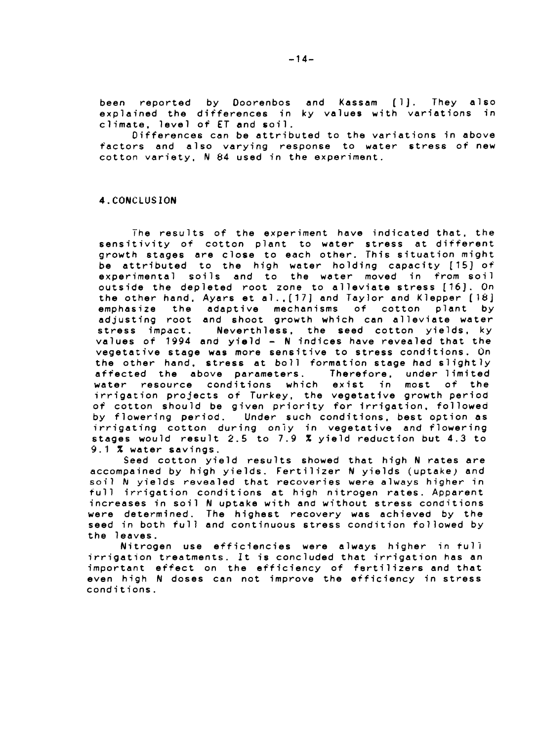**been reported by Doorenbos and Kassam [1J. They also explained the differences in ky values with variations in climate, level of ET and soil.**

**Differences can be attributed to the variations in above factors and also varying response to water stress of new cotton variety, N 84 used in the experiment.**

## **4.CONCLUSION**

**I he results of the experiment have indicated that, the sensitivity of cotton plant to water stress at different growth stages are close to each other. This situation might be attributed to the high water holding capacity [15] of experimental soils and to the water moved in from soil outside the depleted root zone to alleviate stress [16]. On the other hand, Ayars et a!.,[17] and Taylor and Klepper [18] emphasize the adaptive mechanisms of cotton plant by adjusting root and shoot growth which can alleviate water stress impact. Neverthless, the seed cotton yields, ky values of 1994 and yield - N indices have revealed that the vegetative stage was more sensitive to stress conditions. On the other hand, stress at boll formation stage had slightly affected the above parameters. Therefore. under limited water resource conditions which exist in most of the irrigation projects of Turkey, the vegetative growth period of cotton should be given priority for irrigation, followed by flowering period. Under such conditions, best option as irrigating cotton during only in vegetative and flowering stages would result 2.5 to 7.9 % yield reduction but 4.3 to 9.1 % water savings.**

**Seed cotton yield results showed that high N rates are accompained by high yields. Fertilizer N yields (uptake; and** soil N yields revealed that recoveries were always higher in **full irrigation conditions at high nitrogen rates. Apparent increases in soil N uptake with and without stress conditions were determined. The highest recovery was achieved by the seed in both full and continuous stress condition followed by the 1 eaves.**

**Nitrogen use efficiencies were always higher in full irrigation treatments. It is concluded that irrigation has an important effect on the efficiency of fertilizers and that even high N doses can not improve the efficiency in stress condi tions.**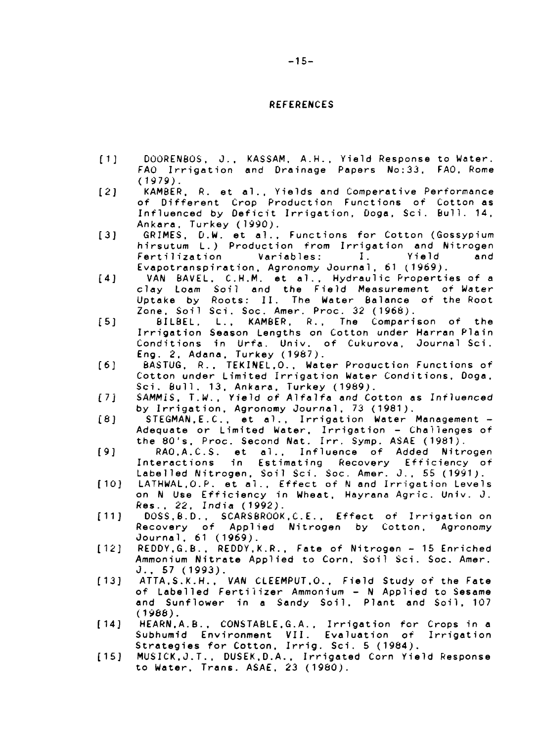## **REFERENCES**

- **[1J DOORENBOS, J.. KASSAM. A.H., Yield Response to Water. FAO Irrigation and Drainage Papers No:33. FAO, Rome (1979).**
- **[2] KAMBER. R. et al . , Yields and Comperative Performance of Different Crop Production Functions of Cotton as Influenced by Deficit Irrigation, Dogs, Sci. Bull. 14, Ankara. Turkey (1990).**
- **[3] GRIMES, D.W. et al.. Functions for Cotton (Gossypium hirsutum L.) Production from Irrigation and Nitrogen Fertilization Variables: I. Yield and Evapotranspiration. Agronomy Journal, 61 (1969).**
- **[4] VAN BAVEL. C.H.M. et al.. Hydraulic Properties of a clay Loam Soil and the Field Measurement of Water Uptake by Roots: II. The Water Balance of the Root Zone. Soil Sci. Soc. Amer. Proc. 32 (1966).**
- **[5J 6ILBEL, L., KAMBER, R.. Tne Comparison of the Irrigation Season Lengths on Cotton under Harran Plain Conditions in Urfa. Univ. of Cukurova, Journal Sci. Eng. 2. Adana, Turkey (1987).**
- **[6] BASTUG. R.. TEKINEL.O., Water Production Functions of Cotton under Limited Irrigation Water Conditions, Doga, Sci. Bull. 13. Ankara, Turkey (1989).**
- **(7j SAMMIS. T.W.. Yield of Alfalfa and Cotton as Influenced by Irrigation, Agronomy Journal, 73 (1981).**
- **[8] STEGMAN,E.C. . et al.. Irrigation Water Management - Adequate or Limited Water. Irrigation - Challenges of the 80's. Proc. Second Nat. Irr. Symp. ASAE (1961).**
- **[9] RAO.A.C.S. et al . . Influence of Added Nitrogen Interactions in Estimating Recovery Efficiency of Labelled Nitrogen, Soil Sci. Soc. Amer. J.. 55 (1991).**
- **[10] LATHWAL.O.P. et al.. Effect of N and Irrigation Levels on N Use Efficiency in Wheat, Hayrana Agric. Univ. J. Res.. 22. India (1992).**
- **[11] DOSS,6.D.. SCARSBROOK.C.E.. Effect of Irrigation on Recovery of Applied Nitrogen by Cotton. Agronomy Journal. 61 (1969).**
- **[12] REDDY.G.B., REDDY.K.R.. Fate of Nitrogen 15 Enriched Ammonium Nitrate Applied to Corn, Soil Sci. Soc. Amer. J. . 57 (1993).**
- **[13] ATTA.S.K.H., VAN CLEEMPUT.O., Field Study of the Fate of Labelled Fertilizer Ammonium - N Applied to Sesame and Sunflower in a Sandy Soil. Plant and Soil, 107 (1988).**
- **[14] HEARN.A.B.. CONSTABLE.G.A.. Irrigation for Crops in a Subhumid Environment VII. Evaluation of Irrigation Strategies for Cotton. Irrig. Sci. 5 (1984).**
- **[15] MUSICK.J.T.. DUSEK.D.A.. Irrigated Corn Yield Response to Water. Trans. ASAE. 23 (1980).**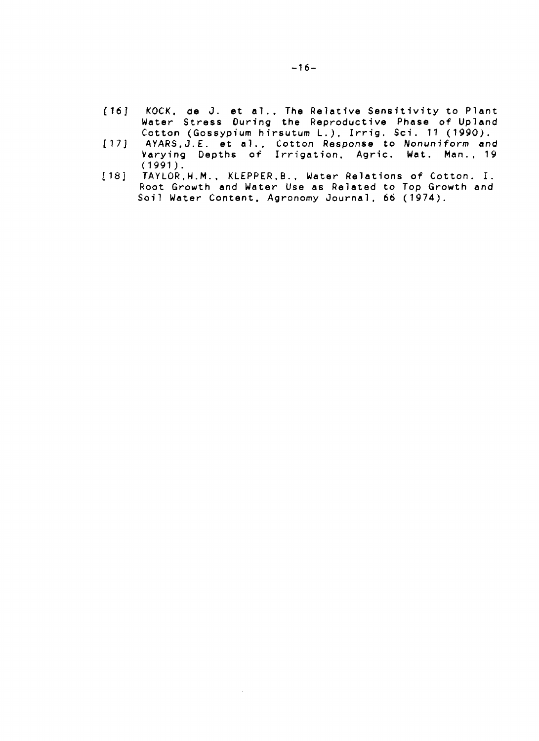- **[16] KOCK, de J. et ol.. The Relative Sensitivity to Plant Water Stress During the Reproductive Phase of Upland** Cotton (Gossypium hirsutum L.), Irrig. Sci. 11 (1990).
- **[ 17 J AYARS.J.E. et a!.. Cotton Response to Nonuniform end Varying Depths of Irrigation, Agric. Wat. Man., 19 (1991).**
- **[18] TAYLOR.H.M.. KLEPPER.B.. Water Relations of Cotton. I. Root Growth and Water Use as Related to Top Growth and Soil Water Content, Agronomy Journal, 66 (1974).**

 $\sim$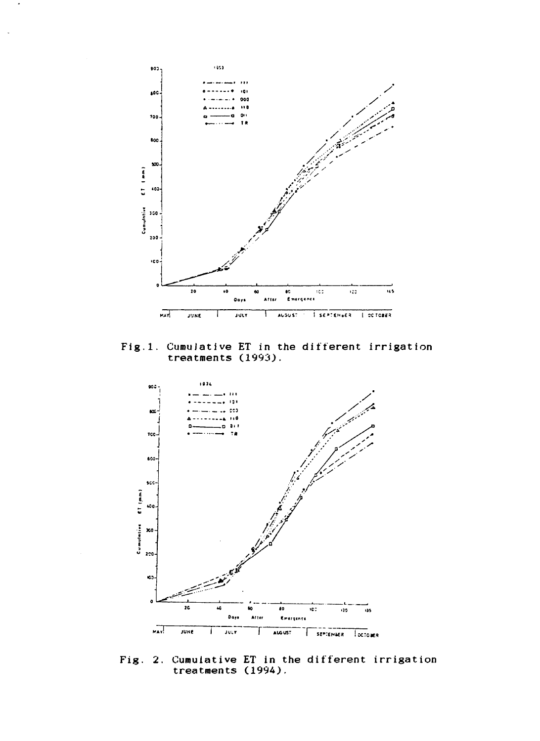

Fig.l. Cumulative ET in the different irrigation treatments (1993).



Fig. 2. Cumulative ET in the different irrigation treatments (1994).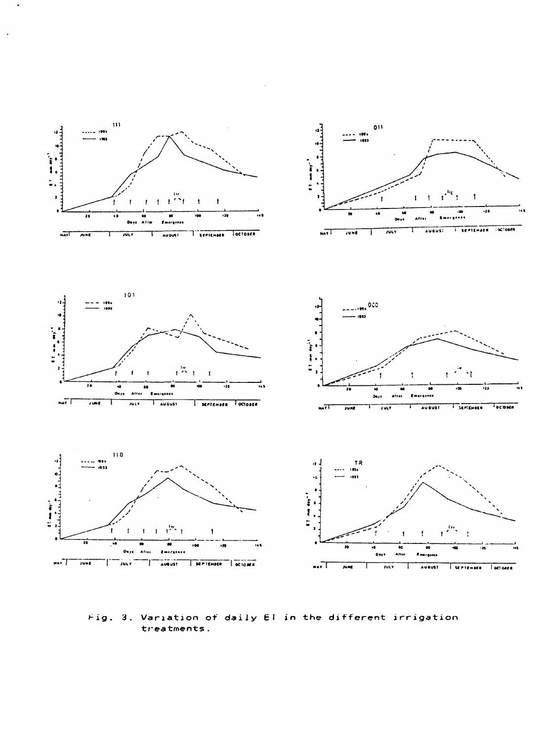

Fig. 3. Variation of daily El in the different irrigation treatments.

 $\overline{a}$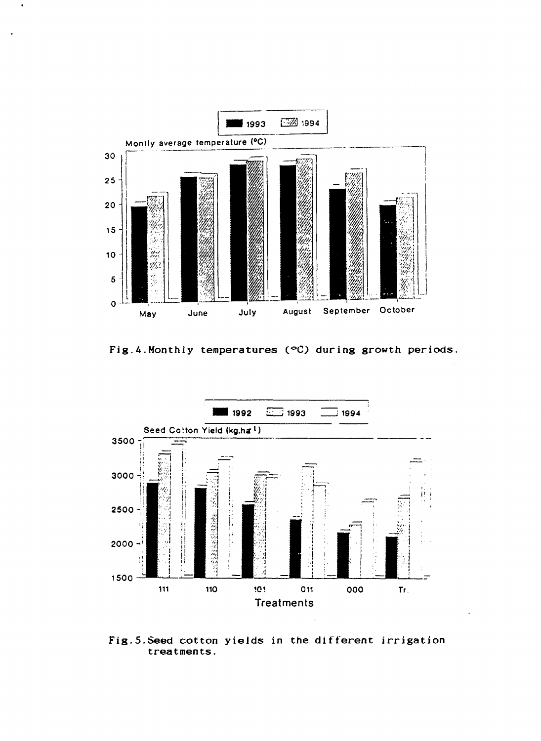

**Fig.A.Monthly temperatures (°O during growth periods**



**Fig.5.Seed cotton yields in the different irrigation treatments.**